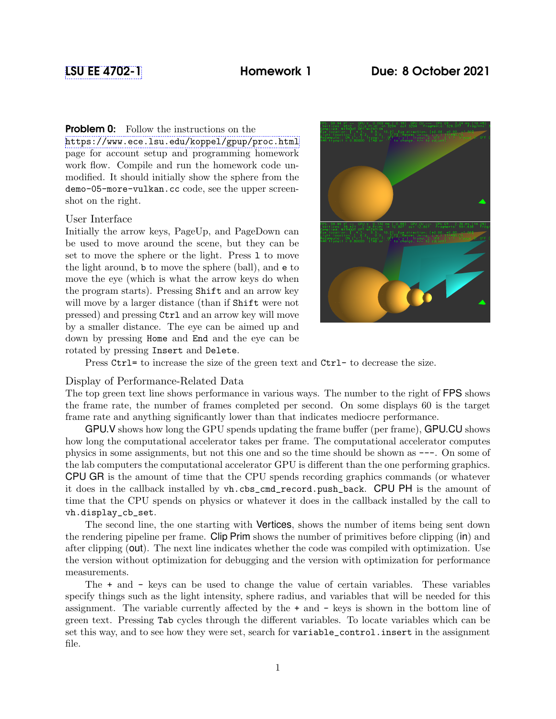## **Problem 0:** Follow the instructions on the

<https://www.ece.lsu.edu/koppel/gpup/proc.html> page for account setup and programming homework work flow. Compile and run the homework code unmodified. It should initially show the sphere from the demo-05-more-vulkan.cc code, see the upper screenshot on the right.

# User Interface

Initially the arrow keys, PageUp, and PageDown can be used to move around the scene, but they can be set to move the sphere or the light. Press l to move the light around, b to move the sphere (ball), and e to move the eye (which is what the arrow keys do when the program starts). Pressing Shift and an arrow key will move by a larger distance (than if Shift were not pressed) and pressing Ctrl and an arrow key will move by a smaller distance. The eye can be aimed up and down by pressing Home and End and the eye can be rotated by pressing Insert and Delete.



Press Ctrl= to increase the size of the green text and Ctrl- to decrease the size.

## Display of Performance-Related Data

The top green text line shows performance in various ways. The number to the right of FPS shows the frame rate, the number of frames completed per second. On some displays 60 is the target frame rate and anything significantly lower than that indicates mediocre performance.

GPU.V shows how long the GPU spends updating the frame buffer (per frame), GPU.CU shows how long the computational accelerator takes per frame. The computational accelerator computes physics in some assignments, but not this one and so the time should be shown as ---. On some of the lab computers the computational accelerator GPU is different than the one performing graphics. CPU GR is the amount of time that the CPU spends recording graphics commands (or whatever it does in the callback installed by vh.cbs\_cmd\_record.push\_back. CPU PH is the amount of time that the CPU spends on physics or whatever it does in the callback installed by the call to vh.display\_cb\_set.

The second line, the one starting with Vertices, shows the number of items being sent down the rendering pipeline per frame. Clip Prim shows the number of primitives before clipping (in) and after clipping (out). The next line indicates whether the code was compiled with optimization. Use the version without optimization for debugging and the version with optimization for performance measurements.

The + and - keys can be used to change the value of certain variables. These variables specify things such as the light intensity, sphere radius, and variables that will be needed for this assignment. The variable currently affected by the + and - keys is shown in the bottom line of green text. Pressing Tab cycles through the different variables. To locate variables which can be set this way, and to see how they were set, search for variable\_control.insert in the assignment file.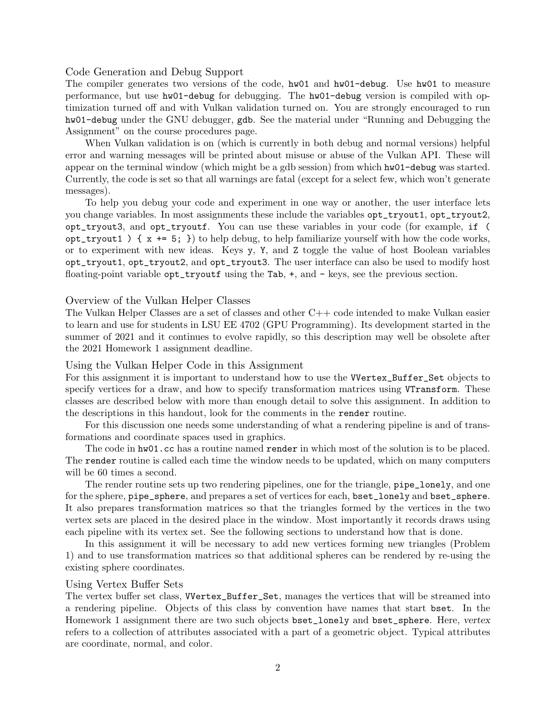## Code Generation and Debug Support

The compiler generates two versions of the code, hw01 and hw01-debug. Use hw01 to measure performance, but use hw01-debug for debugging. The hw01-debug version is compiled with optimization turned off and with Vulkan validation turned on. You are strongly encouraged to run hw01-debug under the GNU debugger, gdb. See the material under "Running and Debugging the Assignment" on the course procedures page.

When Vulkan validation is on (which is currently in both debug and normal versions) helpful error and warning messages will be printed about misuse or abuse of the Vulkan API. These will appear on the terminal window (which might be a gdb session) from which hw01-debug was started. Currently, the code is set so that all warnings are fatal (except for a select few, which won't generate messages).

To help you debug your code and experiment in one way or another, the user interface lets you change variables. In most assignments these include the variables opt\_tryout1, opt\_tryout2, opt\_tryout3, and opt\_tryoutf. You can use these variables in your code (for example, if (  $opt\_tryout1$  ) {  $x \ne 5$ ; } to help debug, to help familiarize yourself with how the code works, or to experiment with new ideas. Keys y, Y, and Z toggle the value of host Boolean variables opt\_tryout1, opt\_tryout2, and opt\_tryout3. The user interface can also be used to modify host floating-point variable opt\_tryoutf using the Tab, +, and - keys, see the previous section.

#### Overview of the Vulkan Helper Classes

The Vulkan Helper Classes are a set of classes and other C++ code intended to make Vulkan easier to learn and use for students in LSU EE 4702 (GPU Programming). Its development started in the summer of 2021 and it continues to evolve rapidly, so this description may well be obsolete after the 2021 Homework 1 assignment deadline.

### Using the Vulkan Helper Code in this Assignment

For this assignment it is important to understand how to use the VVertex\_Buffer\_Set objects to specify vertices for a draw, and how to specify transformation matrices using VTransform. These classes are described below with more than enough detail to solve this assignment. In addition to the descriptions in this handout, look for the comments in the render routine.

For this discussion one needs some understanding of what a rendering pipeline is and of transformations and coordinate spaces used in graphics.

The code in  $hw01$ .cc has a routine named render in which most of the solution is to be placed. The render routine is called each time the window needs to be updated, which on many computers will be 60 times a second.

The render routine sets up two rendering pipelines, one for the triangle, pipe\_lonely, and one for the sphere, pipe\_sphere, and prepares a set of vertices for each, bset\_lonely and bset\_sphere. It also prepares transformation matrices so that the triangles formed by the vertices in the two vertex sets are placed in the desired place in the window. Most importantly it records draws using each pipeline with its vertex set. See the following sections to understand how that is done.

In this assignment it will be necessary to add new vertices forming new triangles (Problem 1) and to use transformation matrices so that additional spheres can be rendered by re-using the existing sphere coordinates.

## Using Vertex Buffer Sets

The vertex buffer set class, VVertex\_Buffer\_Set, manages the vertices that will be streamed into a rendering pipeline. Objects of this class by convention have names that start bset. In the Homework 1 assignment there are two such objects bset\_lonely and bset\_sphere. Here, vertex refers to a collection of attributes associated with a part of a geometric object. Typical attributes are coordinate, normal, and color.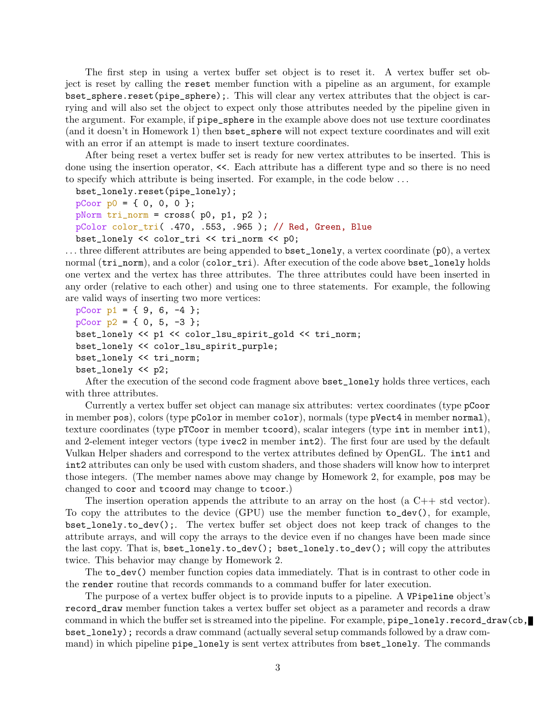The first step in using a vertex buffer set object is to reset it. A vertex buffer set object is reset by calling the reset member function with a pipeline as an argument, for example bset\_sphere.reset(pipe\_sphere);. This will clear any vertex attributes that the object is carrying and will also set the object to expect only those attributes needed by the pipeline given in the argument. For example, if pipe\_sphere in the example above does not use texture coordinates (and it doesn't in Homework 1) then bset\_sphere will not expect texture coordinates and will exit with an error if an attempt is made to insert texture coordinates.

After being reset a vertex buffer set is ready for new vertex attributes to be inserted. This is done using the insertion operator, <<. Each attribute has a different type and so there is no need to specify which attribute is being inserted. For example, in the code below . . .

bset\_lonely.reset(pipe\_lonely);  $pCoor p0 = { 0, 0, 0 };$ pNorm tri\_norm = cross( p0, p1, p2 ); pColor color\_tri( .470, .553, .965 ); // Red, Green, Blue bset\_lonely << color\_tri << tri\_norm << p0;

 $\dots$  three different attributes are being appended to **bset\_lonely**, a vertex coordinate ( $p0$ ), a vertex normal (tri\_norm), and a color (color\_tri). After execution of the code above bset\_lonely holds one vertex and the vertex has three attributes. The three attributes could have been inserted in any order (relative to each other) and using one to three statements. For example, the following are valid ways of inserting two more vertices:

pCoor  $p1 = \{ 9, 6, -4 \}$ ; pCoor  $p2 = \{ 0, 5, -3 \}$ ; bset\_lonely << p1 << color\_lsu\_spirit\_gold << tri\_norm; bset\_lonely << color\_lsu\_spirit\_purple; bset\_lonely << tri\_norm; bset\_lonely << p2;

After the execution of the second code fragment above bset\_lonely holds three vertices, each with three attributes.

Currently a vertex buffer set object can manage six attributes: vertex coordinates (type pCoor in member pos), colors (type pColor in member color), normals (type pVect4 in member normal), texture coordinates (type pTCoor in member tcoord), scalar integers (type int in member int1), and 2-element integer vectors (type ivec2 in member int2). The first four are used by the default Vulkan Helper shaders and correspond to the vertex attributes defined by OpenGL. The int1 and int2 attributes can only be used with custom shaders, and those shaders will know how to interpret those integers. (The member names above may change by Homework 2, for example, pos may be changed to coor and tcoord may change to tcoor.)

The insertion operation appends the attribute to an array on the host (a  $C++$  std vector). To copy the attributes to the device (GPU) use the member function to\_dev(), for example, bset\_lonely.to\_dev();. The vertex buffer set object does not keep track of changes to the attribute arrays, and will copy the arrays to the device even if no changes have been made since the last copy. That is, bset\_lonely.to\_dev(); bset\_lonely.to\_dev(); will copy the attributes twice. This behavior may change by Homework 2.

The to\_dev() member function copies data immediately. That is in contrast to other code in the render routine that records commands to a command buffer for later execution.

The purpose of a vertex buffer object is to provide inputs to a pipeline. A VPipeline object's record\_draw member function takes a vertex buffer set object as a parameter and records a draw command in which the buffer set is streamed into the pipeline. For example, pipe\_lonely.record\_draw(cb, bset\_lonely); records a draw command (actually several setup commands followed by a draw command) in which pipeline pipe\_lonely is sent vertex attributes from bset\_lonely. The commands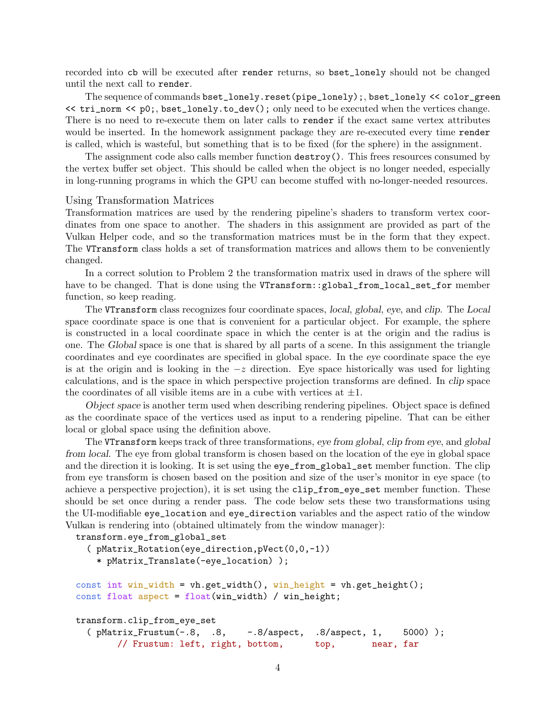recorded into cb will be executed after render returns, so bset\_lonely should not be changed until the next call to render.

The sequence of commands bset\_lonely.reset(pipe\_lonely);, bset\_lonely << color\_green  $\le$  tri\_norm  $\le$  p0;, bset\_lonely.to\_dev(); only need to be executed when the vertices change. There is no need to re-execute them on later calls to **render** if the exact same vertex attributes would be inserted. In the homework assignment package they are re-executed every time render is called, which is wasteful, but something that is to be fixed (for the sphere) in the assignment.

The assignment code also calls member function destroy(). This frees resources consumed by the vertex buffer set object. This should be called when the object is no longer needed, especially in long-running programs in which the GPU can become stuffed with no-longer-needed resources.

#### Using Transformation Matrices

Transformation matrices are used by the rendering pipeline's shaders to transform vertex coordinates from one space to another. The shaders in this assignment are provided as part of the Vulkan Helper code, and so the transformation matrices must be in the form that they expect. The VTransform class holds a set of transformation matrices and allows them to be conveniently changed.

In a correct solution to Problem 2 the transformation matrix used in draws of the sphere will have to be changed. That is done using the VTransform::global\_from\_local\_set\_for member function, so keep reading.

The VTransform class recognizes four coordinate spaces, local, global, eye, and clip. The Local space coordinate space is one that is convenient for a particular object. For example, the sphere is constructed in a local coordinate space in which the center is at the origin and the radius is one. The Global space is one that is shared by all parts of a scene. In this assignment the triangle coordinates and eye coordinates are specified in global space. In the eye coordinate space the eye is at the origin and is looking in the  $-z$  direction. Eye space historically was used for lighting calculations, and is the space in which perspective projection transforms are defined. In clip space the coordinates of all visible items are in a cube with vertices at  $\pm 1$ .

Object space is another term used when describing rendering pipelines. Object space is defined as the coordinate space of the vertices used as input to a rendering pipeline. That can be either local or global space using the definition above.

The VTransform keeps track of three transformations, eye from global, clip from eye, and global from local. The eye from global transform is chosen based on the location of the eye in global space and the direction it is looking. It is set using the eye\_from\_global\_set member function. The clip from eye transform is chosen based on the position and size of the user's monitor in eye space (to achieve a perspective projection), it is set using the clip\_from\_eye\_set member function. These should be set once during a render pass. The code below sets these two transformations using the UI-modifiable eye\_location and eye\_direction variables and the aspect ratio of the window Vulkan is rendering into (obtained ultimately from the window manager):

transform.eye\_from\_global\_set

```
( pMatrix_Rotation(eye_direction,pVect(0,0,-1))
   * pMatrix_Translate(-eye_location) );
const int win_width = vh.get_width(), win_height = vh.get_height();
const float aspect = float(win_width) / win_height;
transform.clip_from_eye_set
  ( pMatrix_Frustum(-.8, .8, -.8/aspect, .8/aspect, 1, 5000) );
       // Frustum: left, right, bottom, top, near, far
```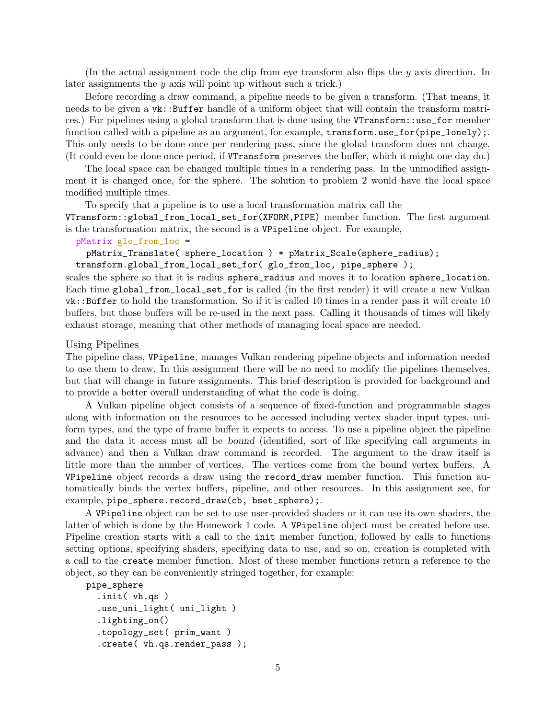(In the actual assignment code the clip from eye transform also flips the  $y$  axis direction. In later assignments the y axis will point up without such a trick.)

Before recording a draw command, a pipeline needs to be given a transform. (That means, it needs to be given a vk::Buffer handle of a uniform object that will contain the transform matrices.) For pipelines using a global transform that is done using the VTransform::use\_for member function called with a pipeline as an argument, for example, transform.use\_for(pipe\_lonely);. This only needs to be done once per rendering pass, since the global transform does not change. (It could even be done once period, if VTransform preserves the buffer, which it might one day do.)

The local space can be changed multiple times in a rendering pass. In the unmodified assignment it is changed once, for the sphere. The solution to problem 2 would have the local space modified multiple times.

To specify that a pipeline is to use a local transformation matrix call the

VTransform::global\_from\_local\_set\_for(XFORM,PIPE) member function. The first argument is the transformation matrix, the second is a VPipeline object. For example,

```
pMatrix glo_from_loc =
```
pMatrix\_Translate( sphere\_location ) \* pMatrix\_Scale(sphere\_radius); transform.global\_from\_local\_set\_for( glo\_from\_loc, pipe\_sphere );

scales the sphere so that it is radius sphere\_radius and moves it to location sphere\_location. Each time global\_from\_local\_set\_for is called (in the first render) it will create a new Vulkan vk::Buffer to hold the transformation. So if it is called 10 times in a render pass it will create 10 buffers, but those buffers will be re-used in the next pass. Calling it thousands of times will likely exhaust storage, meaning that other methods of managing local space are needed.

#### Using Pipelines

The pipeline class, VPipeline, manages Vulkan rendering pipeline objects and information needed to use them to draw. In this assignment there will be no need to modify the pipelines themselves, but that will change in future assignments. This brief description is provided for background and to provide a better overall understanding of what the code is doing.

A Vulkan pipeline object consists of a sequence of fixed-function and programmable stages along with information on the resources to be accessed including vertex shader input types, uniform types, and the type of frame buffer it expects to access. To use a pipeline object the pipeline and the data it access must all be bound (identified, sort of like specifying call arguments in advance) and then a Vulkan draw command is recorded. The argument to the draw itself is little more than the number of vertices. The vertices come from the bound vertex buffers. A VPipeline object records a draw using the record\_draw member function. This function automatically binds the vertex buffers, pipeline, and other resources. In this assignment see, for example, pipe\_sphere.record\_draw(cb, bset\_sphere);.

A VPipeline object can be set to use user-provided shaders or it can use its own shaders, the latter of which is done by the Homework 1 code. A VPipeline object must be created before use. Pipeline creation starts with a call to the init member function, followed by calls to functions setting options, specifying shaders, specifying data to use, and so on, creation is completed with a call to the create member function. Most of these member functions return a reference to the object, so they can be conveniently stringed together, for example:

```
pipe_sphere
  .init( vh.qs )
  .use_uni_light( uni_light )
  .lighting_on()
  .topology_set( prim_want )
  .create( vh.qs.render_pass );
```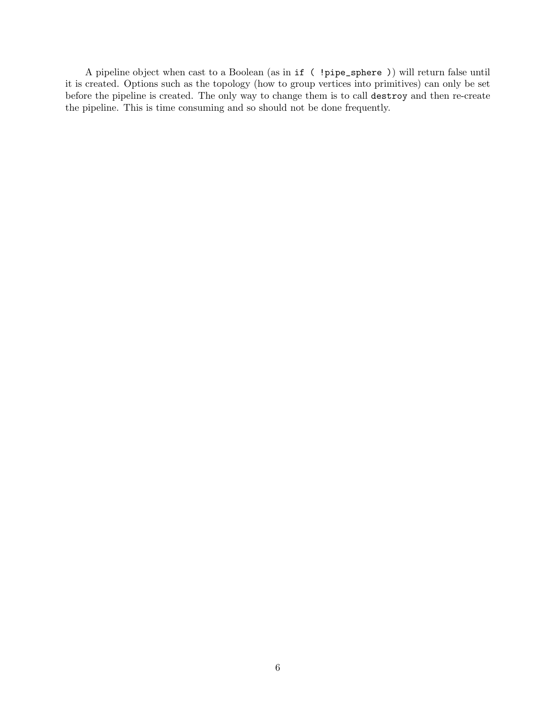A pipeline object when cast to a Boolean (as in if ( !pipe\_sphere )) will return false until it is created. Options such as the topology (how to group vertices into primitives) can only be set before the pipeline is created. The only way to change them is to call destroy and then re-create the pipeline. This is time consuming and so should not be done frequently.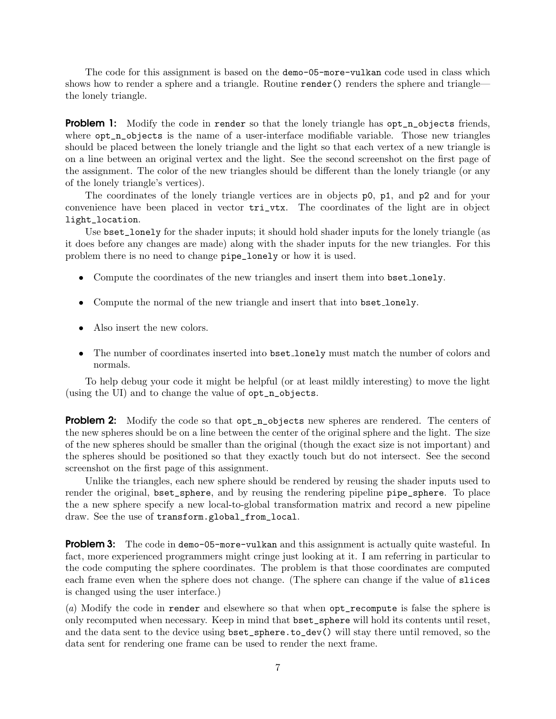The code for this assignment is based on the demo-05-more-vulkan code used in class which shows how to render a sphere and a triangle. Routine render() renders the sphere and trianglethe lonely triangle.

Problem 1: Modify the code in render so that the lonely triangle has opt\_n\_objects friends, where  $opt_n_objects$  is the name of a user-interface modifiable variable. Those new triangles should be placed between the lonely triangle and the light so that each vertex of a new triangle is on a line between an original vertex and the light. See the second screenshot on the first page of the assignment. The color of the new triangles should be different than the lonely triangle (or any of the lonely triangle's vertices).

The coordinates of the lonely triangle vertices are in objects p0, p1, and p2 and for your convenience have been placed in vector tri\_vtx. The coordinates of the light are in object light\_location.

Use bset\_lonely for the shader inputs; it should hold shader inputs for the lonely triangle (as it does before any changes are made) along with the shader inputs for the new triangles. For this problem there is no need to change pipe\_lonely or how it is used.

- Compute the coordinates of the new triangles and insert them into bset lonely.
- Compute the normal of the new triangle and insert that into bset lonely.
- Also insert the new colors.
- The number of coordinates inserted into bset\_lonely must match the number of colors and normals.

To help debug your code it might be helpful (or at least mildly interesting) to move the light (using the UI) and to change the value of opt\_n\_objects.

**Problem 2:** Modify the code so that opt\_n\_objects new spheres are rendered. The centers of the new spheres should be on a line between the center of the original sphere and the light. The size of the new spheres should be smaller than the original (though the exact size is not important) and the spheres should be positioned so that they exactly touch but do not intersect. See the second screenshot on the first page of this assignment.

Unlike the triangles, each new sphere should be rendered by reusing the shader inputs used to render the original, bset\_sphere, and by reusing the rendering pipeline pipe\_sphere. To place the a new sphere specify a new local-to-global transformation matrix and record a new pipeline draw. See the use of transform.global\_from\_local.

**Problem 3:** The code in demo-05-more-vulkan and this assignment is actually quite wasteful. In fact, more experienced programmers might cringe just looking at it. I am referring in particular to the code computing the sphere coordinates. The problem is that those coordinates are computed each frame even when the sphere does not change. (The sphere can change if the value of slices is changed using the user interface.)

(a) Modify the code in render and elsewhere so that when opt\_recompute is false the sphere is only recomputed when necessary. Keep in mind that bset\_sphere will hold its contents until reset, and the data sent to the device using bset\_sphere.to\_dev() will stay there until removed, so the data sent for rendering one frame can be used to render the next frame.